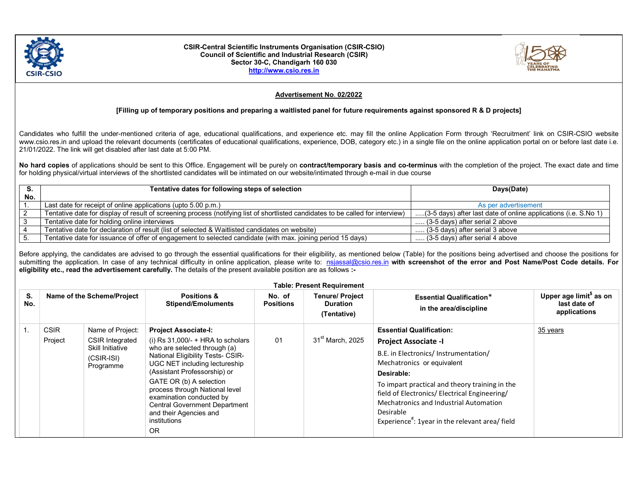

## CSIR-Central Scientific Instruments Organisation (CSIR-CSIO) Council of Scientific and Industrial Research (CSIR) Sector 30-C, Chandigarh 160 030 http://www.csio.res.in



## Advertisement No. 02/2022

## [Filling up of temporary positions and preparing a waitlisted panel for future requirements against sponsored R & D projects]

Candidates who fulfill the under-mentioned criteria of age, educational qualifications, and experience etc. may fill the online Application Form through 'Recruitment' link on CSIR-CSIO website www.csio.res.in and upload the relevant documents (certificates of educational qualifications, experience, DOB, category etc.) in a single file on the online application portal on or before last date i.e. 21/01/2022. The link will get disabled after last date at 5:00 PM.

No hard copies of applications should be sent to this Office. Engagement will be purely on contract/temporary basis and co-terminus with the completion of the project. The exact date and time for holding physical/virtual interviews of the shortlisted candidates will be intimated on our website/intimated through e-mail in due course

|     | Tentative dates for following steps of selection                                                                                | Days(Date)                                                      |  |
|-----|---------------------------------------------------------------------------------------------------------------------------------|-----------------------------------------------------------------|--|
| No. |                                                                                                                                 |                                                                 |  |
|     | Last date for receipt of online applications (upto 5.00 p.m.)                                                                   | As per advertisement                                            |  |
|     | Tentative date for display of result of screening process (notifying list of shortlisted candidates to be called for interview) | (3-5 days) after last date of online applications (i.e. S.No 1) |  |
|     | Tentative date for holding online interviews                                                                                    | (3-5 days) after serial 2 above                                 |  |
|     | Tentative date for declaration of result (list of selected & Waitlisted candidates on website)                                  | $\ldots$ (3-5 days) after serial 3 above                        |  |
|     | Tentative date for issuance of offer of engagement to selected candidate (with max. joining period 15 days)                     | (3-5 days) after serial 4 above                                 |  |

Before applying, the candidates are advised to go through the essential qualifications for their eligibility, as mentioned below (Table) for the positions being advertised and choose the positions for submitting the application. In case of any technical difficulty in online application, please write to: nsjassal@csio.res.in with screenshot of the error and Post Name/Post Code details. For eligibility etc., read the advertisement carefully. The details of the present available position are as follows :-

| <b>Table: Present Requirement</b> |                            |                                                      |                                                                                                                                                                                                                                                                                                      |                     |                                                          |                                                                                                                                                                                                                                             |                                                                     |  |  |
|-----------------------------------|----------------------------|------------------------------------------------------|------------------------------------------------------------------------------------------------------------------------------------------------------------------------------------------------------------------------------------------------------------------------------------------------------|---------------------|----------------------------------------------------------|---------------------------------------------------------------------------------------------------------------------------------------------------------------------------------------------------------------------------------------------|---------------------------------------------------------------------|--|--|
| S.<br>No.                         | Name of the Scheme/Project |                                                      | <b>Positions &amp;</b><br><b>Stipend/Emoluments</b>                                                                                                                                                                                                                                                  | No. of<br>Positions | <b>Tenure/ Project</b><br><b>Duration</b><br>(Tentative) | <b>Essential Qualification*</b><br>in the area/discipline                                                                                                                                                                                   | Upper age limit <sup>\$</sup> as on<br>last date of<br>applications |  |  |
|                                   | <b>CSIR</b>                | Name of Project:                                     | <b>Project Associate-I:</b>                                                                                                                                                                                                                                                                          |                     |                                                          | <b>Essential Qualification:</b>                                                                                                                                                                                                             | 35 years                                                            |  |  |
|                                   | Project                    | <b>CSIR Integrated</b>                               | (i) Rs $31,000/- + HRA$ to scholars                                                                                                                                                                                                                                                                  | 01                  | 31 <sup>st</sup> March, 2025                             | <b>Project Associate -I</b>                                                                                                                                                                                                                 |                                                                     |  |  |
|                                   |                            | <b>Skill Initiative</b><br>$(CSIR-ISI)$<br>Programme | who are selected through (a)<br><b>National Eligibility Tests- CSIR-</b><br>UGC NET including lectureship<br>(Assistant Professorship) or<br>GATE OR (b) A selection<br>process through National level<br>examination conducted by<br><b>Central Government Department</b><br>and their Agencies and |                     |                                                          | B.E. in Electronics/ Instrumentation/<br>Mechatronics or equivalent<br>Desirable:<br>To impart practical and theory training in the<br>field of Electronics/ Electrical Engineering/<br>Mechatronics and Industrial Automation<br>Desirable |                                                                     |  |  |
|                                   |                            |                                                      | institutions<br><b>OR</b>                                                                                                                                                                                                                                                                            |                     |                                                          | Experience <sup>#</sup> : 1year in the relevant area/ field                                                                                                                                                                                 |                                                                     |  |  |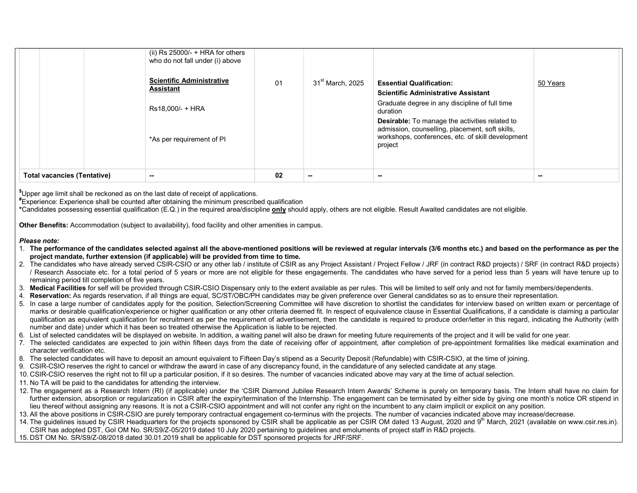|                                    | (ii) $Rs 25000/- + HRA$ for others<br>who do not fall under (i) above<br><b>Scientific Administrative</b><br>Assistant<br>Rs18,000/- + HRA<br>*As per requirement of PI | 01 | $31^{\rm st}$ March, 2025 | <b>Essential Qualification:</b><br><b>Scientific Administrative Assistant</b><br>Graduate degree in any discipline of full time<br>duration<br><b>Desirable:</b> To manage the activities related to<br>admission, counselling, placement, soft skills,<br>workshops, conferences, etc. of skill development<br>project | 50 Years |
|------------------------------------|-------------------------------------------------------------------------------------------------------------------------------------------------------------------------|----|---------------------------|-------------------------------------------------------------------------------------------------------------------------------------------------------------------------------------------------------------------------------------------------------------------------------------------------------------------------|----------|
| <b>Total vacancies (Tentative)</b> | $\sim$                                                                                                                                                                  | 02 | --                        | $\sim$                                                                                                                                                                                                                                                                                                                  |          |

\$Upper age limit shall be reckoned as on the last date of receipt of applications.

#Experience: Experience shall be counted after obtaining the minimum prescribed qualification

\*Candidates possessing essential qualification (E.Q.) in the required area/discipline only should apply, others are not eligible. Result Awaited candidates are not eligible.

Other Benefits: Accommodation (subject to availability), food facility and other amenities in campus.

## Please note:

- 1. The performance of the candidates selected against all the above-mentioned positions will be reviewed at regular intervals (3/6 months etc.) and based on the performance as per the project mandate, further extension (if applicable) will be provided from time to time.
- 2. The candidates who have already served CSIR-CSIO or any other lab / institute of CSIR as any Project Assistant / Project Fellow / JRF (in contract R&D projects) / SRF (in contract R&D projects) / Research Associate etc. for a total period of 5 years or more are not eligible for these engagements. The candidates who have served for a period less than 5 years will have tenure up to remaining period till completion of five years.
- 3. Medical Facilities for self will be provided through CSIR-CSIO Dispensary only to the extent available as per rules. This will be limited to self only and not for family members/dependents.
- 4. Reservation: As regards reservation, if all things are equal, SC/ST/OBC/PH candidates may be given preference over General candidates so as to ensure their representation.
- 5. In case a large number of candidates apply for the position, Selection/Screening Committee will have discretion to shortlist the candidates for interview based on written exam or percentage of marks or desirable qualification/experience or higher qualification or any other criteria deemed fit. In respect of equivalence clause in Essential Qualifications, if a candidate is claiming a particular qualification as equivalent qualification for recruitment as per the requirement of advertisement, then the candidate is required to produce order/letter in this regard, indicating the Authority (with number and date) under which it has been so treated otherwise the Application is liable to be rejected.
- 6. List of selected candidates will be displayed on website. In addition, a waiting panel will also be drawn for meeting future requirements of the project and it will be valid for one year.
- 7. The selected candidates are expected to join within fifteen days from the date of receiving offer of appointment, after completion of pre-appointment formalities like medical examination and character verification etc.
- 8. The selected candidates will have to deposit an amount equivalent to Fifteen Day's stipend as a Security Deposit (Refundable) with CSIR-CSIO, at the time of joining.
- 9. CSIR-CSIO reserves the right to cancel or withdraw the award in case of any discrepancy found, in the candidature of any selected candidate at any stage.
- 10. CSIR-CSIO reserves the right not to fill up a particular position, if it so desires. The number of vacancies indicated above may vary at the time of actual selection.
- 11. No TA will be paid to the candidates for attending the interview.
- 12. The engagement as a Research Intern (RI) (if applicable) under the 'CSIR Diamond Jubilee Research Intern Awards' Scheme is purely on temporary basis. The Intern shall have no claim for further extension, absorption or regularization in CSIR after the expiry/termination of the Internship. The engagement can be terminated by either side by giving one month's notice OR stipend in lieu thereof without assigning any reasons. It is not a CSIR-CSIO appointment and will not confer any right on the incumbent to any claim implicit or explicit on any position.
- 13. All the above positions in CSIR-CSIO are purely temporary contractual engagement co-terminus with the projects. The number of vacancies indicated above may increase/decrease.
- 14. The guidelines issued by CSIR Headquarters for the projects sponsored by CSIR shall be applicable as per CSIR OM dated 13 August, 2020 and 9<sup>th</sup> March, 2021 (available on www.csir.res.in). CSIR has adopted DST, GoI OM No. SR/S9/Z-05/2019 dated 10 July 2020 pertaining to guidelines and emoluments of project staff in R&D projects.
- 15. DST OM No. SR/S9/Z-08/2018 dated 30.01.2019 shall be applicable for DST sponsored projects for JRF/SRF.